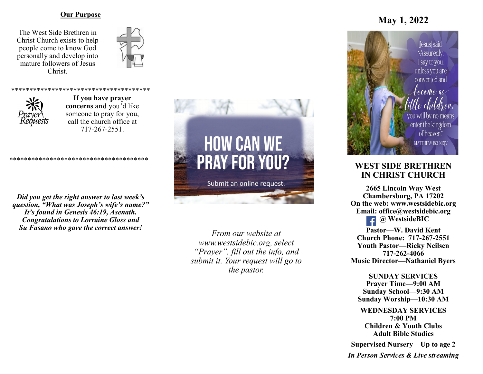#### **Our Purpose**

The West Side Brethren in Christ Church exists to help people come to know God personally and develop into mature followers of Jesus Christ.





**If you have prayer concerns** and you'd like someone to pray for you, call the church office at 717-267-2551.

\*\*\*\*\*\*\*\*\*\*\*\*\*\*\*\*\*\*\*\*\*\*\*\*\*

*Did you get the right answer to last week's question, "What was Joseph's wife's name?" It's found in Genesis 46:19, Asenath. Congratulations to Lorraine Gloss and Su Fasano who gave the correct answer!*

\*\*\*\*\*\*\*\*\*\*\*\*\*\*\*\*\*\*\*\*\*\*\*\*\*\*\*\*\*\*\*\*\*\*\*\*\*\*



Submit an online request.

*From our website at www.westsidebic.org, select "Prayer", fill out the info, and submit it. Your request will go to the pastor.*

# **May 1, 2022**



## **WEST SIDE BRETHREN IN CHRIST CHURCH**

**2665 Lincoln Way West Chambersburg, PA 17202 On the web: [www.westsidebic.org](http://www.westsidebic.org) Email: office@westsidebic.org @ WestsideBIC Pastor—W. David Kent Church Phone: 717-267-2551 Youth Pastor—Ricky Neilsen 717-262-4066 Music Director—Nathaniel Byers**

**SUNDAY SERVICES Prayer Time—9:00 AM Sunday School—9:30 AM Sunday Worship—10:30 AM**

**WEDNESDAY SERVICES 7:00 PM Children & Youth Clubs Adult Bible Studies**

**Supervised Nursery—Up to age 2**

*In Person Services & Live streaming*